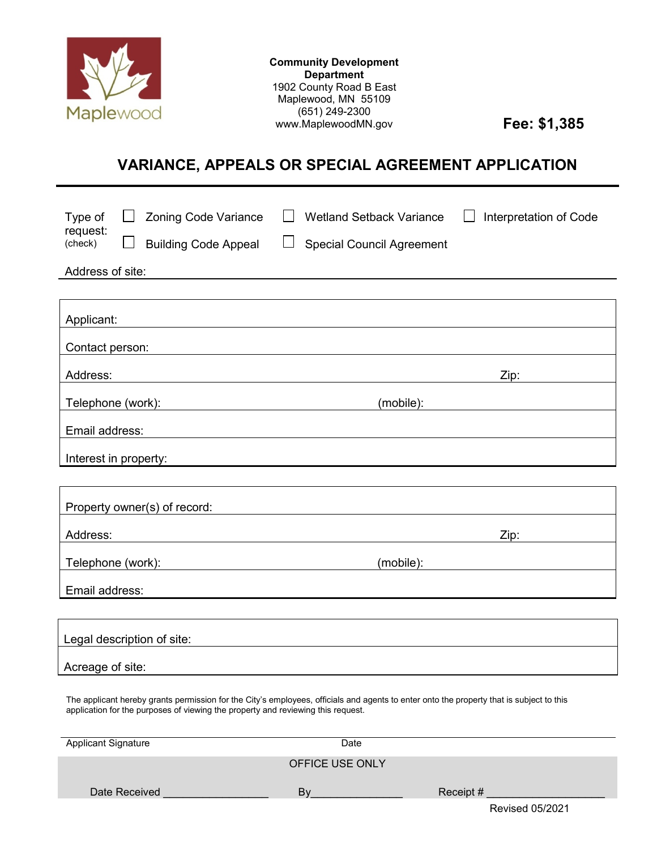

**Community Development Department** 1902 County Road B East Maplewood, MN 55109 (651) 249-2300 www.MaplewoodMN.gov **Fee: \$1,385** 

# **VARIANCE, APPEALS OR SPECIAL AGREEMENT APPLICATION**

| <b>Zoning Code Variance</b><br>Type of<br>request:<br>(check)<br><b>Building Code Appeal</b><br>Address of site: | <b>Wetland Setback Variance</b><br>$\Box$<br><b>Special Council Agreement</b>                                          | Interpretation of Code                                                                                        |
|------------------------------------------------------------------------------------------------------------------|------------------------------------------------------------------------------------------------------------------------|---------------------------------------------------------------------------------------------------------------|
| Applicant:<br><u> 1989 - Johann Stein, Amerikaansk politiker (* 1958)</u>                                        |                                                                                                                        |                                                                                                               |
| Contact person:                                                                                                  | <u> 1989 - Johann Stoff, deutscher Stoff, der Stoff, der Stoff, der Stoff, der Stoff, der Stoff, der Stoff, der S</u>  |                                                                                                               |
| Address:                                                                                                         | <u> 1989 - Johann Stoff, deutscher Stoffen und der Stoffen und der Stoffen und der Stoffen und der Stoffen und der</u> | Zip: and the state of the state of the state of the state of the state of the state of the state of the state |
| Telephone (work): www.advia.com/www.advia.com/www.advia.com/www.advia.com/                                       |                                                                                                                        |                                                                                                               |
| Email address:                                                                                                   |                                                                                                                        |                                                                                                               |
| Interest in property:                                                                                            |                                                                                                                        |                                                                                                               |
|                                                                                                                  |                                                                                                                        |                                                                                                               |
| Property owner(s) of record:                                                                                     | <u> 1980 - Johann Stein, fransk politik (f. 1980)</u>                                                                  |                                                                                                               |
| Address:                                                                                                         |                                                                                                                        | Zip:                                                                                                          |
| Telephone (work):<br><u> 1980 - Jan Sterner, margin eta idazlear (h. 1980).</u>                                  | (mobile):                                                                                                              |                                                                                                               |
| Email address:                                                                                                   |                                                                                                                        |                                                                                                               |
|                                                                                                                  |                                                                                                                        |                                                                                                               |
| Legal description of site:                                                                                       |                                                                                                                        |                                                                                                               |
| Acreage of site:                                                                                                 |                                                                                                                        |                                                                                                               |

The applicant hereby grants permission for the City's employees, officials and agents to enter onto the property that is subject to this application for the purposes of viewing the property and reviewing this request.

| <b>Applicant Signature</b> | Date            |                        |
|----------------------------|-----------------|------------------------|
|                            | OFFICE USE ONLY |                        |
| Date Received              | B٧              | Receipt #              |
|                            |                 | <b>Revised 05/2021</b> |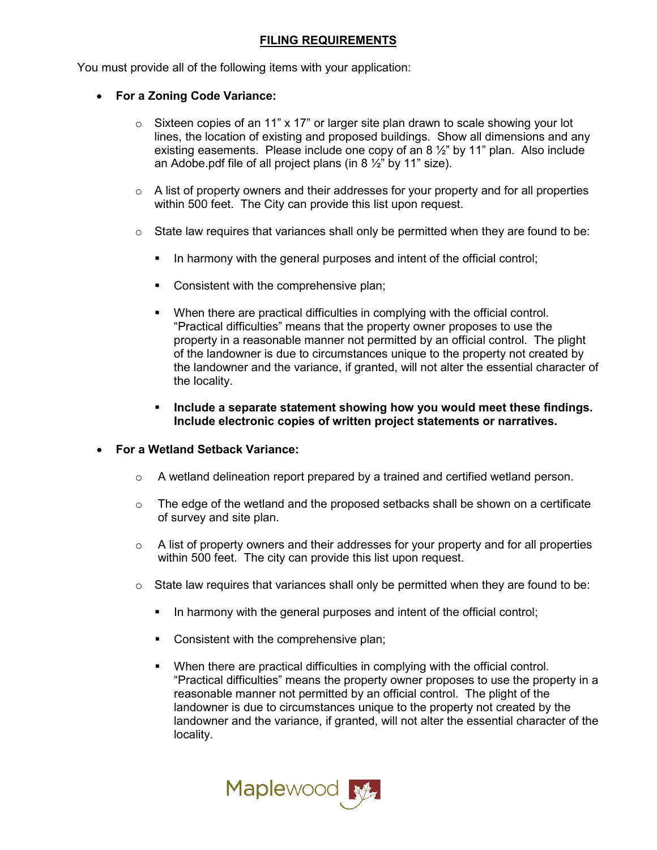## **FILING REQUIREMENTS**

You must provide all of the following items with your application:

- **For a Zoning Code Variance:**
	- o Sixteen copies of an 11" x 17" or larger site plan drawn to scale showing your lot lines, the location of existing and proposed buildings. Show all dimensions and any existing easements. Please include one copy of an 8  $\frac{1}{2}$ " by 11" plan. Also include an Adobe.pdf file of all project plans (in 8  $\frac{1}{2}$ " by 11" size).
	- $\circ$  A list of property owners and their addresses for your property and for all properties within 500 feet. The City can provide this list upon request.
	- $\circ$  State law requires that variances shall only be permitted when they are found to be:
		- In harmony with the general purposes and intent of the official control;
		- Consistent with the comprehensive plan;
		- **When there are practical difficulties in complying with the official control.** "Practical difficulties" means that the property owner proposes to use the property in a reasonable manner not permitted by an official control. The plight of the landowner is due to circumstances unique to the property not created by the landowner and the variance, if granted, will not alter the essential character of the locality.
		- **Include a separate statement showing how you would meet these findings. Include electronic copies of written project statements or narratives.**
- **For a Wetland Setback Variance:**
	- $\circ$  A wetland delineation report prepared by a trained and certified wetland person.
	- $\circ$  The edge of the wetland and the proposed setbacks shall be shown on a certificate of survey and site plan.
	- $\circ$  A list of property owners and their addresses for your property and for all properties within 500 feet. The city can provide this list upon request.
	- $\circ$  State law requires that variances shall only be permitted when they are found to be:
		- In harmony with the general purposes and intent of the official control;
		- **Consistent with the comprehensive plan;**
		- **When there are practical difficulties in complying with the official control.** "Practical difficulties" means the property owner proposes to use the property in a reasonable manner not permitted by an official control. The plight of the landowner is due to circumstances unique to the property not created by the landowner and the variance, if granted, will not alter the essential character of the locality.